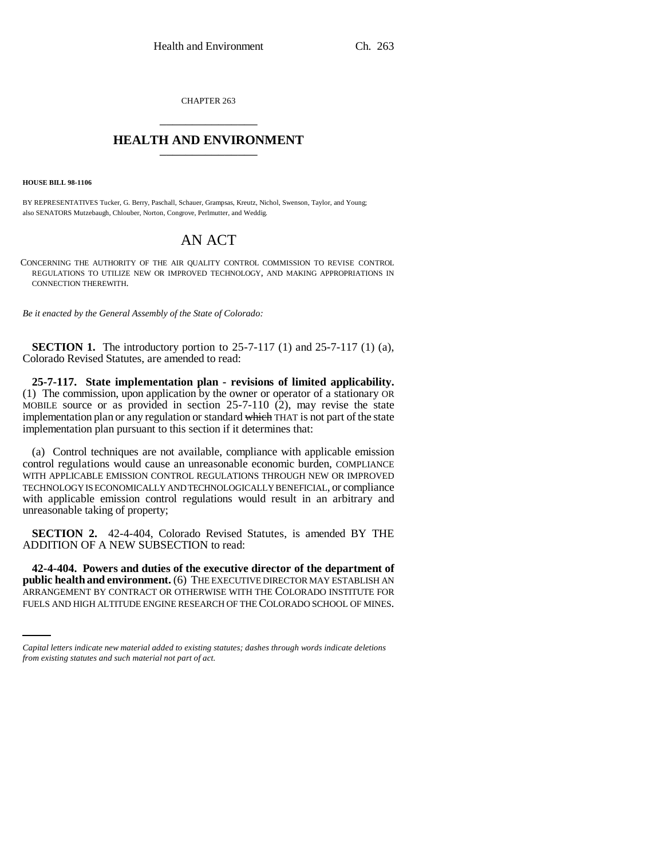CHAPTER 263 \_\_\_\_\_\_\_\_\_\_\_\_\_\_\_

## **HEALTH AND ENVIRONMENT** \_\_\_\_\_\_\_\_\_\_\_\_\_\_\_

**HOUSE BILL 98-1106**

BY REPRESENTATIVES Tucker, G. Berry, Paschall, Schauer, Grampsas, Kreutz, Nichol, Swenson, Taylor, and Young; also SENATORS Mutzebaugh, Chlouber, Norton, Congrove, Perlmutter, and Weddig.

## AN ACT

CONCERNING THE AUTHORITY OF THE AIR QUALITY CONTROL COMMISSION TO REVISE CONTROL REGULATIONS TO UTILIZE NEW OR IMPROVED TECHNOLOGY, AND MAKING APPROPRIATIONS IN CONNECTION THEREWITH.

*Be it enacted by the General Assembly of the State of Colorado:*

**SECTION 1.** The introductory portion to 25-7-117 (1) and 25-7-117 (1) (a), Colorado Revised Statutes, are amended to read:

**25-7-117. State implementation plan - revisions of limited applicability.** (1) The commission, upon application by the owner or operator of a stationary OR MOBILE source or as provided in section  $25-7-110$   $(2)$ , may revise the state implementation plan or any regulation or standard which THAT is not part of the state implementation plan pursuant to this section if it determines that:

(a) Control techniques are not available, compliance with applicable emission control regulations would cause an unreasonable economic burden, COMPLIANCE WITH APPLICABLE EMISSION CONTROL REGULATIONS THROUGH NEW OR IMPROVED TECHNOLOGY IS ECONOMICALLY AND TECHNOLOGICALLY BENEFICIAL, or compliance with applicable emission control regulations would result in an arbitrary and unreasonable taking of property;

**SECTION 2.** 42-4-404, Colorado Revised Statutes, is amended BY THE ADDITION OF A NEW SUBSECTION to read:

 **public health and environment.** (6) THE EXECUTIVE DIRECTOR MAY ESTABLISH AN **42-4-404. Powers and duties of the executive director of the department of** ARRANGEMENT BY CONTRACT OR OTHERWISE WITH THE COLORADO INSTITUTE FOR FUELS AND HIGH ALTITUDE ENGINE RESEARCH OF THE COLORADO SCHOOL OF MINES.

*Capital letters indicate new material added to existing statutes; dashes through words indicate deletions from existing statutes and such material not part of act.*